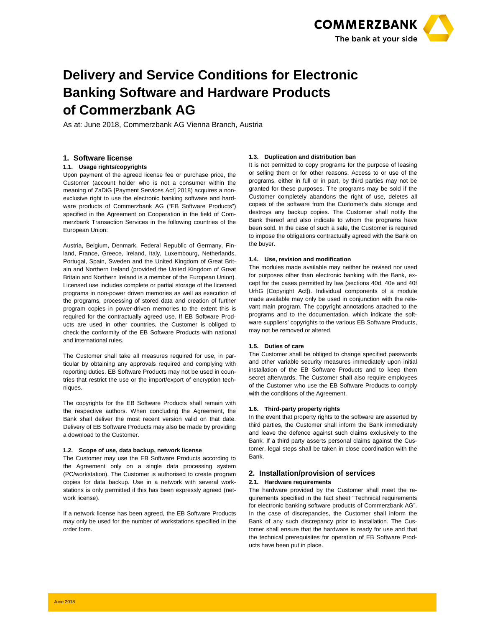

# **Delivery and Service Conditions for Electronic Banking Software and Hardware Products of Commerzbank AG**

As at: June 2018, Commerzbank AG Vienna Branch, Austria

# **1. Software license**

## **1.1. Usage rights/copyrights**

Upon payment of the agreed license fee or purchase price, the Customer (account holder who is not a consumer within the meaning of ZaDiG [Payment Services Act] 2018) acquires a nonexclusive right to use the electronic banking software and hardware products of Commerzbank AG ("EB Software Products") specified in the Agreement on Cooperation in the field of Commerzbank Transaction Services in the following countries of the European Union:

Austria, Belgium, Denmark, Federal Republic of Germany, Finland, France, Greece, Ireland, Italy, Luxembourg, Netherlands, Portugal, Spain, Sweden and the United Kingdom of Great Britain and Northern Ireland (provided the United Kingdom of Great Britain and Northern Ireland is a member of the European Union). Licensed use includes complete or partial storage of the licensed programs in non-power driven memories as well as execution of the programs, processing of stored data and creation of further program copies in power-driven memories to the extent this is required for the contractually agreed use. If EB Software Products are used in other countries, the Customer is obliged to check the conformity of the EB Software Products with national and international rules.

The Customer shall take all measures required for use, in particular by obtaining any approvals required and complying with reporting duties. EB Software Products may not be used in countries that restrict the use or the import/export of encryption techniques.

The copyrights for the EB Software Products shall remain with the respective authors. When concluding the Agreement, the Bank shall deliver the most recent version valid on that date. Delivery of EB Software Products may also be made by providing a download to the Customer.

# **1.2. Scope of use, data backup, network license**

The Customer may use the EB Software Products according to the Agreement only on a single data processing system (PC/workstation). The Customer is authorised to create program copies for data backup. Use in a network with several workstations is only permitted if this has been expressly agreed (network license).

If a network license has been agreed, the EB Software Products may only be used for the number of workstations specified in the order form.

# **1.3. Duplication and distribution ban**

It is not permitted to copy programs for the purpose of leasing or selling them or for other reasons. Access to or use of the programs, either in full or in part, by third parties may not be granted for these purposes. The programs may be sold if the Customer completely abandons the right of use, deletes all copies of the software from the Customer's data storage and destroys any backup copies. The Customer shall notify the Bank thereof and also indicate to whom the programs have been sold. In the case of such a sale, the Customer is required to impose the obligations contractually agreed with the Bank on the buyer.

## **1.4. Use, revision and modification**

The modules made available may neither be revised nor used for purposes other than electronic banking with the Bank, except for the cases permitted by law (sections 40d, 40e and 40f UrhG [Copyright Act]). Individual components of a module made available may only be used in conjunction with the relevant main program. The copyright annotations attached to the programs and to the documentation, which indicate the software suppliers' copyrights to the various EB Software Products, may not be removed or altered.

#### **1.5. Duties of care**

The Customer shall be obliged to change specified passwords and other variable security measures immediately upon initial installation of the EB Software Products and to keep them secret afterwards. The Customer shall also require employees of the Customer who use the EB Software Products to comply with the conditions of the Agreement.

#### **1.6. Third-party property rights**

In the event that property rights to the software are asserted by third parties, the Customer shall inform the Bank immediately and leave the defence against such claims exclusively to the Bank. If a third party asserts personal claims against the Customer, legal steps shall be taken in close coordination with the Bank.

# **2. Installation/provision of services 2.1. Hardware requirements**

The hardware provided by the Customer shall meet the requirements specified in the fact sheet "Technical requirements for electronic banking software products of Commerzbank AG". In the case of discrepancies, the Customer shall inform the Bank of any such discrepancy prior to installation. The Customer shall ensure that the hardware is ready for use and that the technical prerequisites for operation of EB Software Products have been put in place.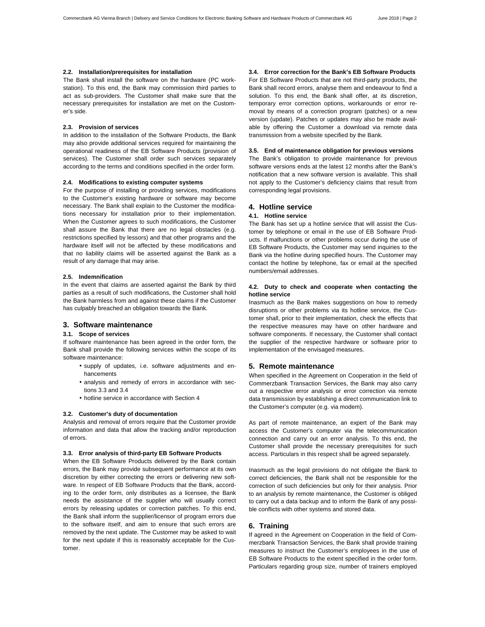#### **2.2. Installation/prerequisites for installation**

The Bank shall install the software on the hardware (PC workstation). To this end, the Bank may commission third parties to act as sub-providers. The Customer shall make sure that the necessary prerequisites for installation are met on the Customer's side.

## **2.3. Provision of services**

In addition to the installation of the Software Products, the Bank may also provide additional services required for maintaining the operational readiness of the EB Software Products (provision of services). The Customer shall order such services separately according to the terms and conditions specified in the order form.

#### **2.4. Modifications to existing computer systems**

For the purpose of installing or providing services, modifications to the Customer's existing hardware or software may become necessary. The Bank shall explain to the Customer the modifications necessary for installation prior to their implementation. When the Customer agrees to such modifications, the Customer shall assure the Bank that there are no legal obstacles (e.g. restrictions specified by lessors) and that other programs and the hardware itself will not be affected by these modifications and that no liability claims will be asserted against the Bank as a result of any damage that may arise.

#### **2.5. Indemnification**

In the event that claims are asserted against the Bank by third parties as a result of such modifications, the Customer shall hold the Bank harmless from and against these claims if the Customer has culpably breached an obligation towards the Bank.

# **3. Software maintenance**

# **3.1. Scope of services**

If software maintenance has been agreed in the order form, the Bank shall provide the following services within the scope of its software maintenance:

- supply of updates, i.e. software adjustments and enhancements
- analysis and remedy of errors in accordance with sections 3.3 and 3.4
- hotline service in accordance with Section 4

#### **3.2. Customer's duty of documentation**

Analysis and removal of errors require that the Customer provide information and data that allow the tracking and/or reproduction of errors.

#### **3.3. Error analysis of third-party EB Software Products**

When the EB Software Products delivered by the Bank contain errors, the Bank may provide subsequent performance at its own discretion by either correcting the errors or delivering new software. In respect of EB Software Products that the Bank, according to the order form, only distributes as a licensee, the Bank needs the assistance of the supplier who will usually correct errors by releasing updates or correction patches. To this end, the Bank shall inform the supplier/licensor of program errors due to the software itself, and aim to ensure that such errors are removed by the next update. The Customer may be asked to wait for the next update if this is reasonably acceptable for the Customer.

**3.4. Error correction for the Bank's EB Software Products**  For EB Software Products that are not third-party products, the Bank shall record errors, analyse them and endeavour to find a solution. To this end, the Bank shall offer, at its discretion, temporary error correction options, workarounds or error removal by means of a correction program (patches) or a new version (update). Patches or updates may also be made available by offering the Customer a download via remote data transmission from a website specified by the Bank.

## **3.5. End of maintenance obligation for previous versions**

The Bank's obligation to provide maintenance for previous software versions ends at the latest 12 months after the Bank's notification that a new software version is available. This shall not apply to the Customer's deficiency claims that result from corresponding legal provisions.

## **4. Hotline service**

#### **4.1. Hotline service**

The Bank has set up a hotline service that will assist the Customer by telephone or email in the use of EB Software Products. If malfunctions or other problems occur during the use of EB Software Products, the Customer may send inquiries to the Bank via the hotline during specified hours. The Customer may contact the hotline by telephone, fax or email at the specified numbers/email addresses.

## **4.2. Duty to check and cooperate when contacting the hotline service**

Inasmuch as the Bank makes suggestions on how to remedy disruptions or other problems via its hotline service, the Customer shall, prior to their implementation, check the effects that the respective measures may have on other hardware and software components. If necessary, the Customer shall contact the supplier of the respective hardware or software prior to implementation of the envisaged measures.

#### **5. Remote maintenance**

When specified in the Agreement on Cooperation in the field of Commerzbank Transaction Services, the Bank may also carry out a respective error analysis or error correction via remote data transmission by establishing a direct communication link to the Customer's computer (e.g. via modem).

As part of remote maintenance, an expert of the Bank may access the Customer's computer via the telecommunication connection and carry out an error analysis. To this end, the Customer shall provide the necessary prerequisites for such access. Particulars in this respect shall be agreed separately.

Inasmuch as the legal provisions do not obligate the Bank to correct deficiencies, the Bank shall not be responsible for the correction of such deficiencies but only for their analysis. Prior to an analysis by remote maintenance, the Customer is obliged to carry out a data backup and to inform the Bank of any possible conflicts with other systems and stored data.

# **6. Training**

If agreed in the Agreement on Cooperation in the field of Commerzbank Transaction Services, the Bank shall provide training measures to instruct the Customer's employees in the use of EB Software Products to the extent specified in the order form. Particulars regarding group size, number of trainers employed